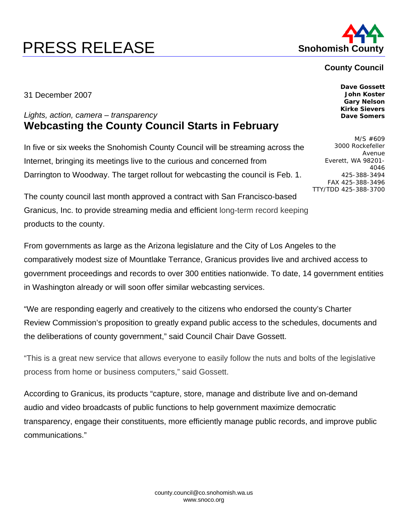## **PRESS RELEASE Shohomish County**



## **County Council**

31 December 2007

## *Lights, action, camera – transparency*  **Webcasting the County Council Starts in February**

In five or six weeks the Snohomish County Council will be streaming across the Internet, bringing its meetings live to the curious and concerned from Darrington to Woodway. The target rollout for webcasting the council is Feb. 1.

The county council last month approved a contract with San Francisco-based Granicus, Inc. to provide streaming media and efficient long-term record keeping products to the county.

From governments as large as the Arizona legislature and the City of Los Angeles to the comparatively modest size of Mountlake Terrance, Granicus provides live and archived access to government proceedings and records to over 300 entities nationwide. To date, 14 government entities in Washington already or will soon offer similar webcasting services.

"We are responding eagerly and creatively to the citizens who endorsed the county's Charter Review Commission's proposition to greatly expand public access to the schedules, documents and the deliberations of county government," said Council Chair Dave Gossett.

"This is a great new service that allows everyone to easily follow the nuts and bolts of the legislative process from home or business computers," said Gossett.

According to Granicus, its products "capture, store, manage and distribute live and on-demand audio and video broadcasts of public functions to help government maximize democratic transparency, engage their constituents, more efficiently manage public records, and improve public communications."

**Dave Gossett John Koster Gary Nelson Kirke Sievers Dave Somers** 

M/S #609 3000 Rockefeller Avenue Everett, WA 98201- 4046 425-388-3494 FAX 425-388-3496 TTY/TDD 425-388-3700